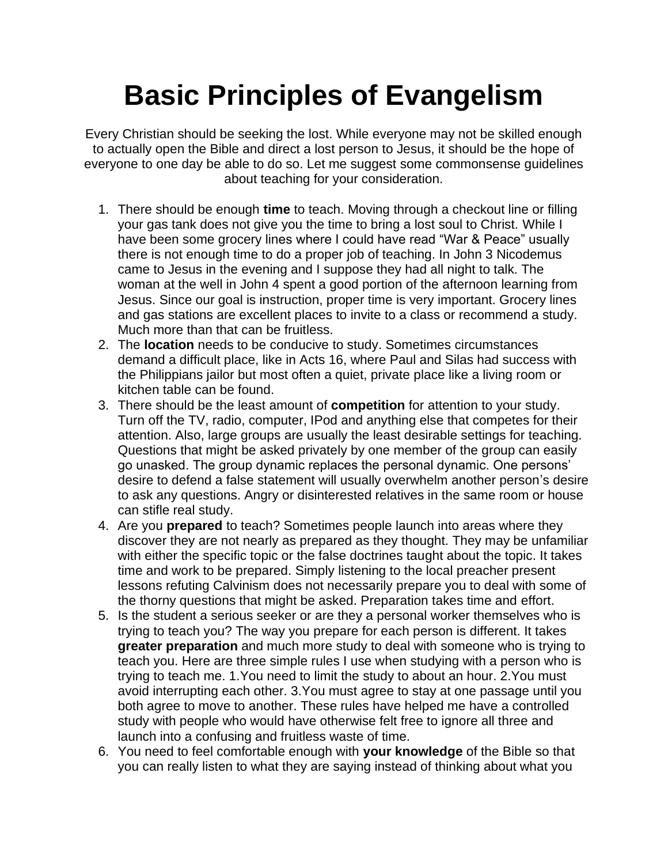## **Basic Principles of Evangelism**

Every Christian should be seeking the lost. While everyone may not be skilled enough to actually open the Bible and direct a lost person to Jesus, it should be the hope of everyone to one day be able to do so. Let me suggest some commonsense guidelines about teaching for your consideration.

- 1. There should be enough **time** to teach. Moving through a checkout line or filling your gas tank does not give you the time to bring a lost soul to Christ. While I have been some grocery lines where I could have read "War & Peace" usually there is not enough time to do a proper job of teaching. In John 3 Nicodemus came to Jesus in the evening and I suppose they had all night to talk. The woman at the well in John 4 spent a good portion of the afternoon learning from Jesus. Since our goal is instruction, proper time is very important. Grocery lines and gas stations are excellent places to invite to a class or recommend a study. Much more than that can be fruitless.
- 2. The **location** needs to be conducive to study. Sometimes circumstances demand a difficult place, like in Acts 16, where Paul and Silas had success with the Philippians jailor but most often a quiet, private place like a living room or kitchen table can be found.
- 3. There should be the least amount of **competition** for attention to your study. Turn off the TV, radio, computer, IPod and anything else that competes for their attention. Also, large groups are usually the least desirable settings for teaching. Questions that might be asked privately by one member of the group can easily go unasked. The group dynamic replaces the personal dynamic. One persons' desire to defend a false statement will usually overwhelm another person's desire to ask any questions. Angry or disinterested relatives in the same room or house can stifle real study.
- 4. Are you **prepared** to teach? Sometimes people launch into areas where they discover they are not nearly as prepared as they thought. They may be unfamiliar with either the specific topic or the false doctrines taught about the topic. It takes time and work to be prepared. Simply listening to the local preacher present lessons refuting Calvinism does not necessarily prepare you to deal with some of the thorny questions that might be asked. Preparation takes time and effort.
- 5. Is the student a serious seeker or are they a personal worker themselves who is trying to teach you? The way you prepare for each person is different. It takes **greater preparation** and much more study to deal with someone who is trying to teach you. Here are three simple rules I use when studying with a person who is trying to teach me. 1.You need to limit the study to about an hour. 2.You must avoid interrupting each other. 3.You must agree to stay at one passage until you both agree to move to another. These rules have helped me have a controlled study with people who would have otherwise felt free to ignore all three and launch into a confusing and fruitless waste of time.
- 6. You need to feel comfortable enough with **your knowledge** of the Bible so that you can really listen to what they are saying instead of thinking about what you